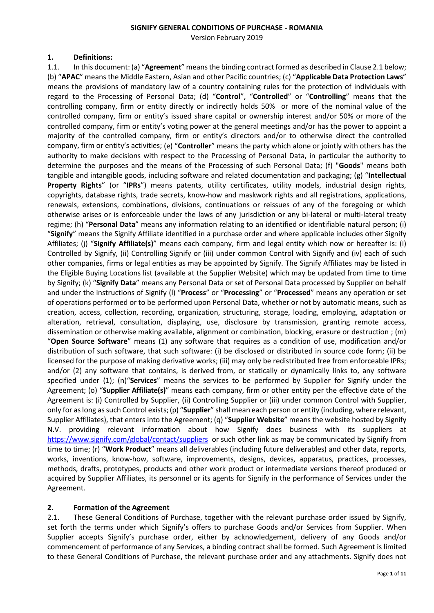#### **SIGNIFY GENERAL CONDITIONS OF PURCHASE - ROMANIA**

Version February 2019

#### **1. Definitions:**

1.1. In this document: (a) "**Agreement**" means the binding contract formed as described in Clause 2.1 below; (b) "**APAC**" means the Middle Eastern, Asian and other Pacific countries; (c) "**Applicable Data Protection Laws**" means the provisions of mandatory law of a country containing rules for the protection of individuals with regard to the Processing of Personal Data; (d) "**Control**", "**Controlled**" or "**Controlling**" means that the controlling company, firm or entity directly or indirectly holds 50% or more of the nominal value of the controlled company, firm or entity's issued share capital or ownership interest and/or 50% or more of the controlled company, firm or entity's voting power at the general meetings and/or has the power to appoint a majority of the controlled company, firm or entity's directors and/or to otherwise direct the controlled company, firm or entity's activities; (e) "**Controller**" means the party which alone or jointly with others has the authority to make decisions with respect to the Processing of Personal Data, in particular the authority to determine the purposes and the means of the Processing of such Personal Data; (f) "**Goods**" means both tangible and intangible goods, including software and related documentation and packaging; (g) "**Intellectual Property Rights**" (or "**IPRs**") means patents, utility certificates, utility models, industrial design rights, copyrights, database rights, trade secrets, know-how and maskwork rights and all registrations, applications, renewals, extensions, combinations, divisions, continuations or reissues of any of the foregoing or which otherwise arises or is enforceable under the laws of any jurisdiction or any bi-lateral or multi-lateral treaty regime; (h) "**Personal Data**" means any information relating to an identified or identifiable natural person; (i) "**Signify**" means the Signify Affiliate identified in a purchase order and where applicable includes other Signify Affiliates; (j) "**Signify Affiliate(s)**" means each company, firm and legal entity which now or hereafter is: (i) Controlled by Signify, (ii) Controlling Signify or (iii) under common Control with Signify and (iv) each of such other companies, firms or legal entities as may be appointed by Signify. The Signify Affiliates may be listed in the Eligible Buying Locations list (available at the Supplier Website) which may be updated from time to time by Signify; (k) "**Signify Data**" means any Personal Data or set of Personal Data processed by Supplier on behalf and under the instructions of Signify (l) "**Process**" or "**Processing**" or "**Processed**" means any operation or set of operations performed or to be performed upon Personal Data, whether or not by automatic means, such as creation, access, collection, recording, organization, structuring, storage, loading, employing, adaptation or alteration, retrieval, consultation, displaying, use, disclosure by transmission, granting remote access, dissemination or otherwise making available, alignment or combination, blocking, erasure or destruction ; (m) "**Open Source Software**" means (1) any software that requires as a condition of use, modification and/or distribution of such software, that such software: (i) be disclosed or distributed in source code form; (ii) be licensed for the purpose of making derivative works; (iii) may only be redistributed free from enforceable IPRs; and/or (2) any software that contains, is derived from, or statically or dynamically links to, any software specified under (1); (n)"**Services**" means the services to be performed by Supplier for Signify under the Agreement; (o) "**Supplier Affiliate(s)**" means each company, firm or other entity per the effective date of the Agreement is: (i) Controlled by Supplier, (ii) Controlling Supplier or (iii) under common Control with Supplier, only for as long as such Control exists; (p) "**Supplier**" shall mean each person or entity (including, where relevant, Supplier Affiliates), that enters into the Agreement; (q) "**Supplier Website**" means the website hosted by Signify N.V. providing relevant information about how Signify does business with its suppliers at <https://www.signify.com/global/contact/suppliers> or such other link as may be communicated by Signify from time to time; (r) "**Work Product**" means all deliverables (including future deliverables) and other data, reports, works, inventions, know-how, software, improvements, designs, devices, apparatus, practices, processes, methods, drafts, prototypes, products and other work product or intermediate versions thereof produced or acquired by Supplier Affiliates, its personnel or its agents for Signify in the performance of Services under the Agreement.

## **2. Formation of the Agreement**

2.1. These General Conditions of Purchase, together with the relevant purchase order issued by Signify, set forth the terms under which Signify's offers to purchase Goods and/or Services from Supplier. When Supplier accepts Signify's purchase order, either by acknowledgement, delivery of any Goods and/or commencement of performance of any Services, a binding contract shall be formed. Such Agreement is limited to these General Conditions of Purchase, the relevant purchase order and any attachments. Signify does not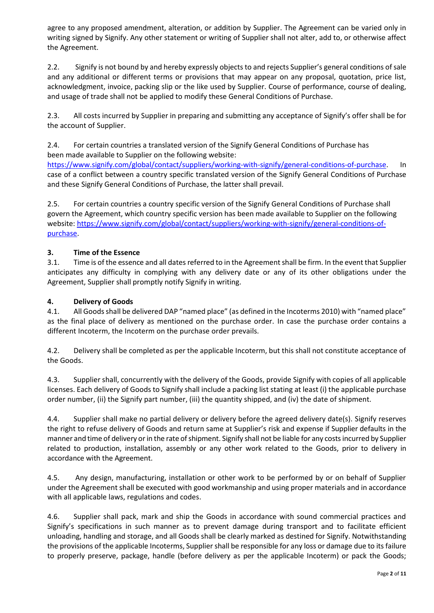agree to any proposed amendment, alteration, or addition by Supplier. The Agreement can be varied only in writing signed by Signify. Any other statement or writing of Supplier shall not alter, add to, or otherwise affect the Agreement.

2.2. Signify is not bound by and hereby expressly objects to and rejects Supplier's general conditions of sale and any additional or different terms or provisions that may appear on any proposal, quotation, price list, acknowledgment, invoice, packing slip or the like used by Supplier. Course of performance, course of dealing, and usage of trade shall not be applied to modify these General Conditions of Purchase.

2.3. All costs incurred by Supplier in preparing and submitting any acceptance of Signify's offer shall be for the account of Supplier.

2.4. For certain countries a translated version of the Signify General Conditions of Purchase has been made available to Supplier on the following website:

[https://www.signify.com/global/contact/suppliers/working-with-signify/general-conditions-of-purchase.](https://www.signify.com/global/contact/suppliers/working-with-signify/general-conditions-of-purchase) In case of a conflict between a country specific translated version of the Signify General Conditions of Purchase and these Signify General Conditions of Purchase, the latter shall prevail.

2.5. For certain countries a country specific version of the Signify General Conditions of Purchase shall govern the Agreement, which country specific version has been made available to Supplier on the following website[: https://www.signify.com/global/contact/suppliers/working-with-signify/general-conditions-of](https://www.signify.com/global/contact/suppliers/working-with-signify/general-conditions-of-purchase)[purchase.](https://www.signify.com/global/contact/suppliers/working-with-signify/general-conditions-of-purchase)

## **3. Time of the Essence**

3.1. Time is of the essence and all dates referred to in the Agreement shall be firm. In the event that Supplier anticipates any difficulty in complying with any delivery date or any of its other obligations under the Agreement, Supplier shall promptly notify Signify in writing.

## **4. Delivery of Goods**

4.1. All Goods shall be delivered DAP "named place" (as defined in the Incoterms 2010) with "named place" as the final place of delivery as mentioned on the purchase order. In case the purchase order contains a different Incoterm, the Incoterm on the purchase order prevails.

4.2. Delivery shall be completed as per the applicable Incoterm, but this shall not constitute acceptance of the Goods.

4.3. Supplier shall, concurrently with the delivery of the Goods, provide Signify with copies of all applicable licenses. Each delivery of Goods to Signify shall include a packing list stating at least (i) the applicable purchase order number, (ii) the Signify part number, (iii) the quantity shipped, and (iv) the date of shipment.

4.4. Supplier shall make no partial delivery or delivery before the agreed delivery date(s). Signify reserves the right to refuse delivery of Goods and return same at Supplier's risk and expense if Supplier defaults in the manner and time of delivery or in the rate of shipment. Signify shall not be liable for any costs incurred by Supplier related to production, installation, assembly or any other work related to the Goods, prior to delivery in accordance with the Agreement.

4.5. Any design, manufacturing, installation or other work to be performed by or on behalf of Supplier under the Agreement shall be executed with good workmanship and using proper materials and in accordance with all applicable laws, regulations and codes.

4.6. Supplier shall pack, mark and ship the Goods in accordance with sound commercial practices and Signify's specifications in such manner as to prevent damage during transport and to facilitate efficient unloading, handling and storage, and all Goods shall be clearly marked as destined for Signify. Notwithstanding the provisions of the applicable Incoterms, Supplier shall be responsible for any loss or damage due to its failure to properly preserve, package, handle (before delivery as per the applicable Incoterm) or pack the Goods;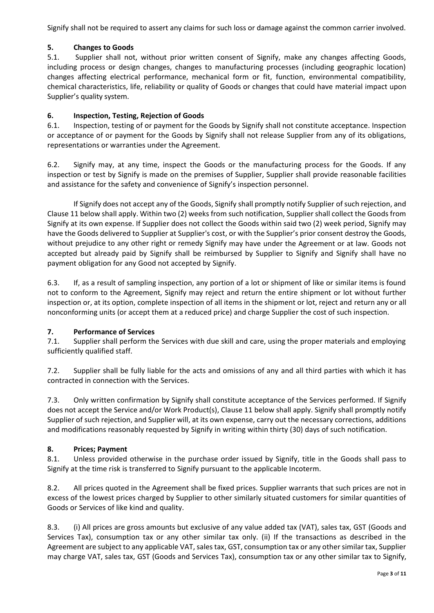Signify shall not be required to assert any claims for such loss or damage against the common carrier involved.

# **5. Changes to Goods**

5.1. Supplier shall not, without prior written consent of Signify, make any changes affecting Goods, including process or design changes, changes to manufacturing processes (including geographic location) changes affecting electrical performance, mechanical form or fit, function, environmental compatibility, chemical characteristics, life, reliability or quality of Goods or changes that could have material impact upon Supplier's quality system.

# **6. Inspection, Testing, Rejection of Goods**

6.1. Inspection, testing of or payment for the Goods by Signify shall not constitute acceptance. Inspection or acceptance of or payment for the Goods by Signify shall not release Supplier from any of its obligations, representations or warranties under the Agreement.

6.2. Signify may, at any time, inspect the Goods or the manufacturing process for the Goods. If any inspection or test by Signify is made on the premises of Supplier, Supplier shall provide reasonable facilities and assistance for the safety and convenience of Signify's inspection personnel.

If Signify does not accept any of the Goods, Signify shall promptly notify Supplier of such rejection, and Clause 11 below shall apply. Within two (2) weeks from such notification, Supplier shall collect the Goods from Signify at its own expense. If Supplier does not collect the Goods within said two (2) week period, Signify may have the Goods delivered to Supplier at Supplier's cost, or with the Supplier's prior consent destroy the Goods, without prejudice to any other right or remedy Signify may have under the Agreement or at law. Goods not accepted but already paid by Signify shall be reimbursed by Supplier to Signify and Signify shall have no payment obligation for any Good not accepted by Signify.

6.3. If, as a result of sampling inspection, any portion of a lot or shipment of like or similar items is found not to conform to the Agreement, Signify may reject and return the entire shipment or lot without further inspection or, at its option, complete inspection of all items in the shipment or lot, reject and return any or all nonconforming units (or accept them at a reduced price) and charge Supplier the cost of such inspection.

## **7. Performance of Services**

7.1. Supplier shall perform the Services with due skill and care, using the proper materials and employing sufficiently qualified staff.

7.2. Supplier shall be fully liable for the acts and omissions of any and all third parties with which it has contracted in connection with the Services.

7.3. Only written confirmation by Signify shall constitute acceptance of the Services performed. If Signify does not accept the Service and/or Work Product(s), Clause 11 below shall apply. Signify shall promptly notify Supplier of such rejection, and Supplier will, at its own expense, carry out the necessary corrections, additions and modifications reasonably requested by Signify in writing within thirty (30) days of such notification.

## **8. Prices; Payment**

8.1. Unless provided otherwise in the purchase order issued by Signify, title in the Goods shall pass to Signify at the time risk is transferred to Signify pursuant to the applicable Incoterm.

8.2. All prices quoted in the Agreement shall be fixed prices. Supplier warrants that such prices are not in excess of the lowest prices charged by Supplier to other similarly situated customers for similar quantities of Goods or Services of like kind and quality.

8.3. (i) All prices are gross amounts but exclusive of any value added tax (VAT), sales tax, GST (Goods and Services Tax), consumption tax or any other similar tax only. (ii) If the transactions as described in the Agreement are subject to any applicable VAT, sales tax, GST, consumption tax or any other similar tax, Supplier may charge VAT, sales tax, GST (Goods and Services Tax), consumption tax or any other similar tax to Signify,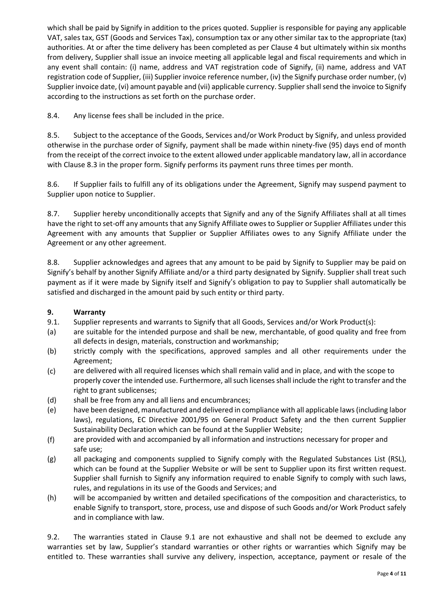which shall be paid by Signify in addition to the prices quoted. Supplier is responsible for paying any applicable VAT, sales tax, GST (Goods and Services Tax), consumption tax or any other similar tax to the appropriate (tax) authorities. At or after the time delivery has been completed as per Clause 4 but ultimately within six months from delivery, Supplier shall issue an invoice meeting all applicable legal and fiscal requirements and which in any event shall contain: (i) name, address and VAT registration code of Signify, (ii) name, address and VAT registration code of Supplier, (iii) Supplier invoice reference number, (iv) the Signify purchase order number, (v) Supplier invoice date, (vi) amount payable and (vii) applicable currency. Supplier shall send the invoice to Signify according to the instructions as set forth on the purchase order.

8.4. Any license fees shall be included in the price.

8.5. Subject to the acceptance of the Goods, Services and/or Work Product by Signify, and unless provided otherwise in the purchase order of Signify, payment shall be made within ninety-five (95) days end of month from the receipt of the correct invoice to the extent allowed under applicable mandatory law, all in accordance with Clause 8.3 in the proper form. Signify performs its payment runs three times per month.

8.6. If Supplier fails to fulfill any of its obligations under the Agreement, Signify may suspend payment to Supplier upon notice to Supplier.

8.7. Supplier hereby unconditionally accepts that Signify and any of the Signify Affiliates shall at all times have the right to set-off any amounts that any Signify Affiliate owes to Supplier or Supplier Affiliates under this Agreement with any amounts that Supplier or Supplier Affiliates owes to any Signify Affiliate under the Agreement or any other agreement.

8.8. Supplier acknowledges and agrees that any amount to be paid by Signify to Supplier may be paid on Signify's behalf by another Signify Affiliate and/or a third party designated by Signify. Supplier shall treat such payment as if it were made by Signify itself and Signify's obligation to pay to Supplier shall automatically be satisfied and discharged in the amount paid by such entity or third party.

## **9. Warranty**

- 9.1. Supplier represents and warrants to Signify that all Goods, Services and/or Work Product(s):
- (a) are suitable for the intended purpose and shall be new, merchantable, of good quality and free from all defects in design, materials, construction and workmanship;
- (b) strictly comply with the specifications, approved samples and all other requirements under the Agreement;
- (c) are delivered with all required licenses which shall remain valid and in place, and with the scope to properly cover the intended use. Furthermore, all such licenses shall include the right to transfer and the right to grant sublicenses;
- (d) shall be free from any and all liens and encumbrances;
- (e) have been designed, manufactured and delivered in compliance with all applicable laws (including labor laws), regulations, EC Directive 2001/95 on General Product Safety and the then current Supplier Sustainability Declaration which can be found at the Supplier Website;
- (f) are provided with and accompanied by all information and instructions necessary for proper and safe use;
- (g) all packaging and components supplied to Signify comply with the Regulated Substances List (RSL), which can be found at the Supplier Website or will be sent to Supplier upon its first written request. Supplier shall furnish to Signify any information required to enable Signify to comply with such laws, rules, and regulations in its use of the Goods and Services; and
- (h) will be accompanied by written and detailed specifications of the composition and characteristics, to enable Signify to transport, store, process, use and dispose of such Goods and/or Work Product safely and in compliance with law.

9.2. The warranties stated in Clause 9.1 are not exhaustive and shall not be deemed to exclude any warranties set by law, Supplier's standard warranties or other rights or warranties which Signify may be entitled to. These warranties shall survive any delivery, inspection, acceptance, payment or resale of the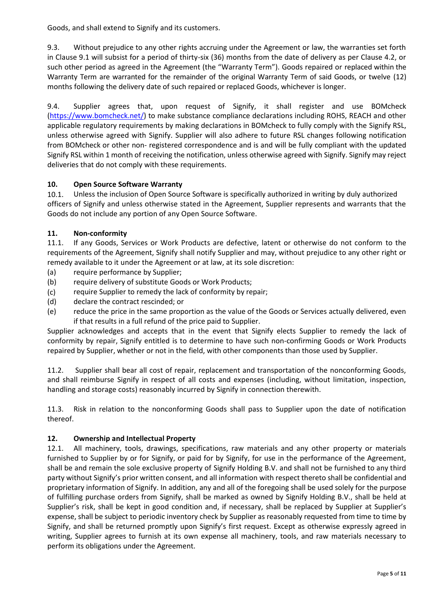Goods, and shall extend to Signify and its customers.

9.3. Without prejudice to any other rights accruing under the Agreement or law, the warranties set forth in Clause 9.1 will subsist for a period of thirty-six (36) months from the date of delivery as per Clause 4.2, or such other period as agreed in the Agreement (the "Warranty Term"). Goods repaired or replaced within the Warranty Term are warranted for the remainder of the original Warranty Term of said Goods, or twelve (12) months following the delivery date of such repaired or replaced Goods, whichever is longer.

9.4. Supplier agrees that, upon request of Signify, it shall register and use BOMcheck [\(https://www.bomcheck.net/\)](https://www.bomcheck.net/) to make substance compliance declarations including ROHS, REACH and other applicable regulatory requirements by making declarations in BOMcheck to fully comply with the Signify RSL, unless otherwise agreed with Signify. Supplier will also adhere to future RSL changes following notification from BOMcheck or other non- registered correspondence and is and will be fully compliant with the updated Signify RSL within 1 month of receiving the notification, unless otherwise agreed with Signify. Signify may reject deliveries that do not comply with these requirements.

## **10. Open Source Software Warranty**

10.1. Unless the inclusion of Open Source Software is specifically authorized in writing by duly authorized officers of Signify and unless otherwise stated in the Agreement, Supplier represents and warrants that the Goods do not include any portion of any Open Source Software.

# **11. Non-conformity**

11.1. If any Goods, Services or Work Products are defective, latent or otherwise do not conform to the requirements of the Agreement, Signify shall notify Supplier and may, without prejudice to any other right or remedy available to it under the Agreement or at law, at its sole discretion:

- (a) require performance by Supplier;
- (b) require delivery of substitute Goods or Work Products;
- (c) require Supplier to remedy the lack of conformity by repair;
- (d) declare the contract rescinded; or
- (e) reduce the price in the same proportion as the value of the Goods or Services actually delivered, even if that results in a full refund of the price paid to Supplier.

Supplier acknowledges and accepts that in the event that Signify elects Supplier to remedy the lack of conformity by repair, Signify entitled is to determine to have such non-confirming Goods or Work Products repaired by Supplier, whether or not in the field, with other components than those used by Supplier.

11.2. Supplier shall bear all cost of repair, replacement and transportation of the nonconforming Goods, and shall reimburse Signify in respect of all costs and expenses (including, without limitation, inspection, handling and storage costs) reasonably incurred by Signify in connection therewith.

11.3. Risk in relation to the nonconforming Goods shall pass to Supplier upon the date of notification thereof.

## **12. Ownership and Intellectual Property**

12.1. All machinery, tools, drawings, specifications, raw materials and any other property or materials furnished to Supplier by or for Signify, or paid for by Signify, for use in the performance of the Agreement, shall be and remain the sole exclusive property of Signify Holding B.V. and shall not be furnished to any third party without Signify's prior written consent, and all information with respect thereto shall be confidential and proprietary information of Signify. In addition, any and all of the foregoing shall be used solely for the purpose of fulfilling purchase orders from Signify, shall be marked as owned by Signify Holding B.V., shall be held at Supplier's risk, shall be kept in good condition and, if necessary, shall be replaced by Supplier at Supplier's expense, shall be subject to periodic inventory check by Supplier as reasonably requested from time to time by Signify, and shall be returned promptly upon Signify's first request. Except as otherwise expressly agreed in writing, Supplier agrees to furnish at its own expense all machinery, tools, and raw materials necessary to perform its obligations under the Agreement.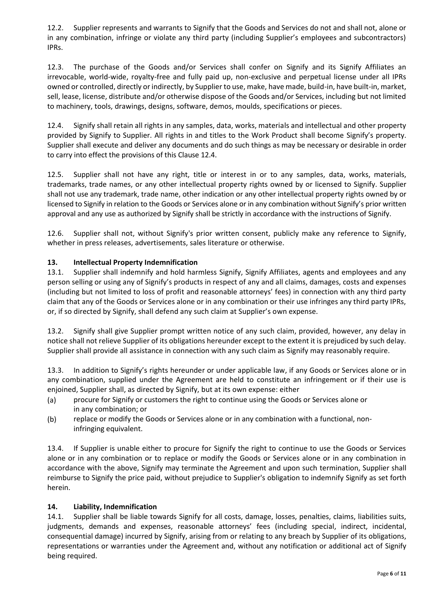12.2. Supplier represents and warrants to Signify that the Goods and Services do not and shall not, alone or in any combination, infringe or violate any third party (including Supplier's employees and subcontractors) IPRs.

12.3. The purchase of the Goods and/or Services shall confer on Signify and its Signify Affiliates an irrevocable, world-wide, royalty-free and fully paid up, non-exclusive and perpetual license under all IPRs owned or controlled, directly or indirectly, by Supplier to use, make, have made, build-in, have built-in, market, sell, lease, license, distribute and/or otherwise dispose of the Goods and/or Services, including but not limited to machinery, tools, drawings, designs, software, demos, moulds, specifications or pieces.

12.4. Signify shall retain all rights in any samples, data, works, materials and intellectual and other property provided by Signify to Supplier. All rights in and titles to the Work Product shall become Signify's property. Supplier shall execute and deliver any documents and do such things as may be necessary or desirable in order to carry into effect the provisions of this Clause 12.4.

12.5. Supplier shall not have any right, title or interest in or to any samples, data, works, materials, trademarks, trade names, or any other intellectual property rights owned by or licensed to Signify. Supplier shall not use any trademark, trade name, other indication or any other intellectual property rights owned by or licensed to Signify in relation to the Goods or Services alone or in any combination without Signify's prior written approval and any use as authorized by Signify shall be strictly in accordance with the instructions of Signify.

12.6. Supplier shall not, without Signify's prior written consent, publicly make any reference to Signify, whether in press releases, advertisements, sales literature or otherwise.

### **13. Intellectual Property Indemnification**

13.1. Supplier shall indemnify and hold harmless Signify, Signify Affiliates, agents and employees and any person selling or using any of Signify's products in respect of any and all claims, damages, costs and expenses (including but not limited to loss of profit and reasonable attorneys' fees) in connection with any third party claim that any of the Goods or Services alone or in any combination or their use infringes any third party IPRs, or, if so directed by Signify, shall defend any such claim at Supplier's own expense.

13.2. Signify shall give Supplier prompt written notice of any such claim, provided, however, any delay in notice shall not relieve Supplier of its obligations hereunder except to the extent it is prejudiced by such delay. Supplier shall provide all assistance in connection with any such claim as Signify may reasonably require.

13.3. In addition to Signify's rights hereunder or under applicable law, if any Goods or Services alone or in any combination, supplied under the Agreement are held to constitute an infringement or if their use is enjoined, Supplier shall, as directed by Signify, but at its own expense: either

- (a) procure for Signify or customers the right to continue using the Goods or Services alone or in any combination; or
- (b) replace or modify the Goods or Services alone or in any combination with a functional, noninfringing equivalent.

13.4. If Supplier is unable either to procure for Signify the right to continue to use the Goods or Services alone or in any combination or to replace or modify the Goods or Services alone or in any combination in accordance with the above, Signify may terminate the Agreement and upon such termination, Supplier shall reimburse to Signify the price paid, without prejudice to Supplier's obligation to indemnify Signify as set forth herein.

#### **14. Liability, Indemnification**

14.1. Supplier shall be liable towards Signify for all costs, damage, losses, penalties, claims, liabilities suits, judgments, demands and expenses, reasonable attorneys' fees (including special, indirect, incidental, consequential damage) incurred by Signify, arising from or relating to any breach by Supplier of its obligations, representations or warranties under the Agreement and, without any notification or additional act of Signify being required.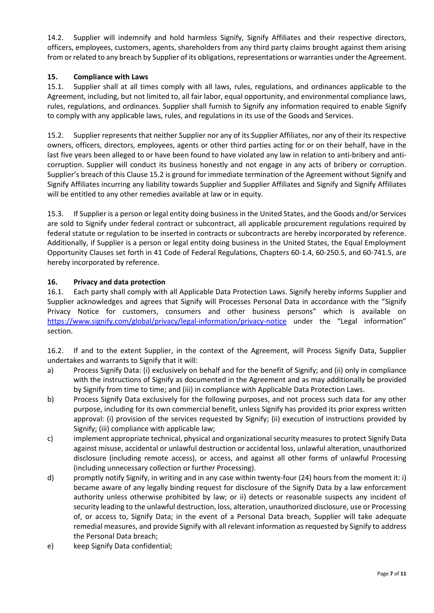14.2. Supplier will indemnify and hold harmless Signify, Signify Affiliates and their respective directors, officers, employees, customers, agents, shareholders from any third party claims brought against them arising from or related to any breach by Supplier of its obligations, representations or warranties under the Agreement.

### **15. Compliance with Laws**

15.1. Supplier shall at all times comply with all laws, rules, regulations, and ordinances applicable to the Agreement, including, but not limited to, all fair labor, equal opportunity, and environmental compliance laws, rules, regulations, and ordinances. Supplier shall furnish to Signify any information required to enable Signify to comply with any applicable laws, rules, and regulations in its use of the Goods and Services.

15.2. Supplier represents that neither Supplier nor any of its Supplier Affiliates, nor any of their its respective owners, officers, directors, employees, agents or other third parties acting for or on their behalf, have in the last five years been alleged to or have been found to have violated any law in relation to anti-bribery and anticorruption. Supplier will conduct its business honestly and not engage in any acts of bribery or corruption. Supplier's breach of this Clause 15.2 is ground for immediate termination of the Agreement without Signify and Signify Affiliates incurring any liability towards Supplier and Supplier Affiliates and Signify and Signify Affiliates will be entitled to any other remedies available at law or in equity.

15.3. If Supplier is a person or legal entity doing business in the United States, and the Goods and/or Services are sold to Signify under federal contract or subcontract, all applicable procurement regulations required by federal statute or regulation to be inserted in contracts or subcontracts are hereby incorporated by reference. Additionally, if Supplier is a person or legal entity doing business in the United States, the Equal Employment Opportunity Clauses set forth in 41 Code of Federal Regulations, Chapters 60-1.4, 60-250.5, and 60-741.5, are hereby incorporated by reference.

### **16. Privacy and data protection**

16.1. Each party shall comply with all Applicable Data Protection Laws. Signify hereby informs Supplier and Supplier acknowledges and agrees that Signify will Processes Personal Data in accordance with the "Signify Privacy Notice for customers, consumers and other business persons" which is available on <https://www.signify.com/global/privacy/legal-information/privacy-notice> under the "Legal information" section.

16.2. If and to the extent Supplier, in the context of the Agreement, will Process Signify Data, Supplier undertakes and warrants to Signify that it will:

- a) Process Signify Data: (i) exclusively on behalf and for the benefit of Signify; and (ii) only in compliance with the instructions of Signify as documented in the Agreement and as may additionally be provided by Signify from time to time; and (iii) in compliance with Applicable Data Protection Laws.
- b) Process Signify Data exclusively for the following purposes, and not process such data for any other purpose, including for its own commercial benefit, unless Signify has provided its prior express written approval: (i) provision of the services requested by Signify; (ii) execution of instructions provided by Signify; (iii) compliance with applicable law;
- c) implement appropriate technical, physical and organizational security measures to protect Signify Data against misuse, accidental or unlawful destruction or accidental loss, unlawful alteration, unauthorized disclosure (including remote access), or access, and against all other forms of unlawful Processing (including unnecessary collection or further Processing).
- d) promptly notify Signify, in writing and in any case within twenty-four (24) hours from the moment it: i) became aware of any legally binding request for disclosure of the Signify Data by a law enforcement authority unless otherwise prohibited by law; or ii) detects or reasonable suspects any incident of security leading to the unlawful destruction, loss, alteration, unauthorized disclosure, use or Processing of, or access to, Signify Data; in the event of a Personal Data breach, Supplier will take adequate remedial measures, and provide Signify with all relevant information as requested by Signify to address the Personal Data breach;
- e) keep Signify Data confidential;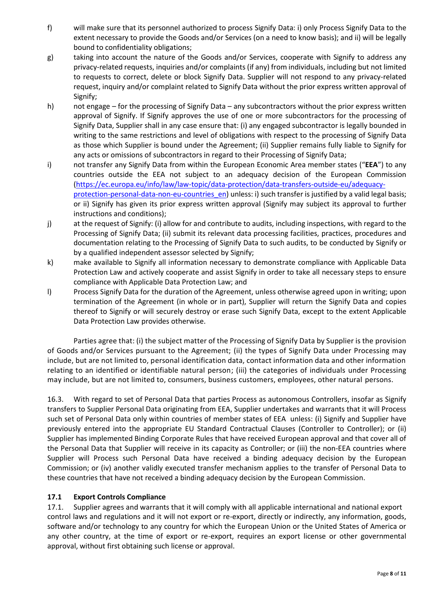- f) will make sure that its personnel authorized to process Signify Data: i) only Process Signify Data to the extent necessary to provide the Goods and/or Services (on a need to know basis); and ii) will be legally bound to confidentiality obligations;
- g) taking into account the nature of the Goods and/or Services, cooperate with Signify to address any privacy-related requests, inquiries and/or complaints (if any) from individuals, including but not limited to requests to correct, delete or block Signify Data. Supplier will not respond to any privacy-related request, inquiry and/or complaint related to Signify Data without the prior express written approval of Signify;
- h) not engage for the processing of Signify Data any subcontractors without the prior express written approval of Signify. If Signify approves the use of one or more subcontractors for the processing of Signify Data, Supplier shall in any case ensure that: (i) any engaged subcontractor is legally bounded in writing to the same restrictions and level of obligations with respect to the processing of Signify Data as those which Supplier is bound under the Agreement; (ii) Supplier remains fully liable to Signify for any acts or omissions of subcontractors in regard to their Processing of Signify Data;
- i) not transfer any Signify Data from within the European Economic Area member states ("**EEA**") to any countries outside the EEA not subject to an adequacy decision of the European Commission [\(https://ec.europa.eu/info/law/law-topic/data-protection/data-transfers-outside-eu/adequacy](https://ec.europa.eu/info/law/law-topic/data-protection/data-transfers-outside-eu/adequacy-protection-personal-data-non-eu-countries_en)protection-personal-data-non-eu-countries en) unless: i) such transfer is justified by a valid legal basis; or ii) Signify has given its prior express written approval (Signify may subject its approval to further instructions and conditions);
- j) at the request of Signify: (i) allow for and contribute to audits, including inspections, with regard to the Processing of Signify Data; (ii) submit its relevant data processing facilities, practices, procedures and documentation relating to the Processing of Signify Data to such audits, to be conducted by Signify or by a qualified independent assessor selected by Signify;
- k) make available to Signify all information necessary to demonstrate compliance with Applicable Data Protection Law and actively cooperate and assist Signify in order to take all necessary steps to ensure compliance with Applicable Data Protection Law; and
- l) Process Signify Data for the duration of the Agreement, unless otherwise agreed upon in writing; upon termination of the Agreement (in whole or in part), Supplier will return the Signify Data and copies thereof to Signify or will securely destroy or erase such Signify Data, except to the extent Applicable Data Protection Law provides otherwise.

Parties agree that: (i) the subject matter of the Processing of Signify Data by Supplier is the provision of Goods and/or Services pursuant to the Agreement; (ii) the types of Signify Data under Processing may include, but are not limited to, personal identification data, contact information data and other information relating to an identified or identifiable natural person; (iii) the categories of individuals under Processing may include, but are not limited to, consumers, business customers, employees, other natural persons.

16.3. With regard to set of Personal Data that parties Process as autonomous Controllers, insofar as Signify transfers to Supplier Personal Data originating from EEA, Supplier undertakes and warrants that it will Process such set of Personal Data only within countries of member states of EEA unless: (i) Signify and Supplier have previously entered into the appropriate EU Standard Contractual Clauses (Controller to Controller); or (ii) Supplier has implemented Binding Corporate Rules that have received European approval and that cover all of the Personal Data that Supplier will receive in its capacity as Controller; or (iii) the non-EEA countries where Supplier will Process such Personal Data have received a binding adequacy decision by the European Commission; or (iv) another validly executed transfer mechanism applies to the transfer of Personal Data to these countries that have not received a binding adequacy decision by the European Commission.

# **17.1 Export Controls Compliance**

17.1. Supplier agrees and warrants that it will comply with all applicable international and national export control laws and regulations and it will not export or re-export, directly or indirectly, any information, goods, software and/or technology to any country for which the European Union or the United States of America or any other country, at the time of export or re-export, requires an export license or other governmental approval, without first obtaining such license or approval.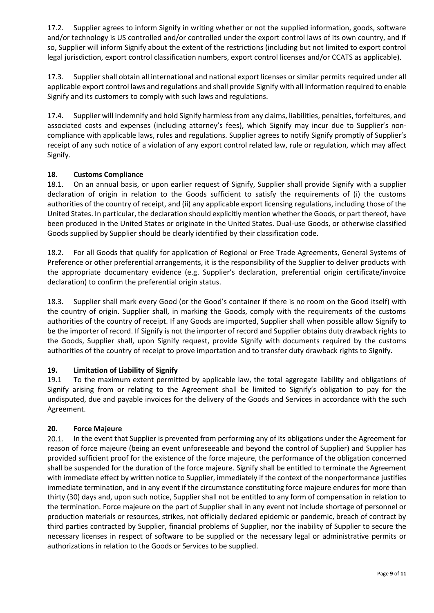17.2. Supplier agrees to inform Signify in writing whether or not the supplied information, goods, software and/or technology is US controlled and/or controlled under the export control laws of its own country, and if so, Supplier will inform Signify about the extent of the restrictions (including but not limited to export control legal jurisdiction, export control classification numbers, export control licenses and/or CCATS as applicable).

17.3. Supplier shall obtain all international and national export licenses or similar permits required under all applicable export control laws and regulations and shall provide Signify with all information required to enable Signify and its customers to comply with such laws and regulations.

17.4. Supplier will indemnify and hold Signify harmless from any claims, liabilities, penalties, forfeitures, and associated costs and expenses (including attorney's fees), which Signify may incur due to Supplier's noncompliance with applicable laws, rules and regulations. Supplier agrees to notify Signify promptly of Supplier's receipt of any such notice of a violation of any export control related law, rule or regulation, which may affect Signify.

## **18. Customs Compliance**

18.1. On an annual basis, or upon earlier request of Signify, Supplier shall provide Signify with a supplier declaration of origin in relation to the Goods sufficient to satisfy the requirements of (i) the customs authorities of the country of receipt, and (ii) any applicable export licensing regulations, including those of the United States. In particular, the declaration should explicitly mention whether the Goods, or part thereof, have been produced in the United States or originate in the United States. Dual-use Goods, or otherwise classified Goods supplied by Supplier should be clearly identified by their classification code.

18.2. For all Goods that qualify for application of Regional or Free Trade Agreements, General Systems of Preference or other preferential arrangements, it is the responsibility of the Supplier to deliver products with the appropriate documentary evidence (e.g. Supplier's declaration, preferential origin certificate/invoice declaration) to confirm the preferential origin status.

18.3. Supplier shall mark every Good (or the Good's container if there is no room on the Good itself) with the country of origin. Supplier shall, in marking the Goods, comply with the requirements of the customs authorities of the country of receipt. If any Goods are imported, Supplier shall when possible allow Signify to be the importer of record. If Signify is not the importer of record and Supplier obtains duty drawback rights to the Goods, Supplier shall, upon Signify request, provide Signify with documents required by the customs authorities of the country of receipt to prove importation and to transfer duty drawback rights to Signify.

## **19. Limitation of Liability of Signify**

19.1 To the maximum extent permitted by applicable law, the total aggregate liability and obligations of Signify arising from or relating to the Agreement shall be limited to Signify's obligation to pay for the undisputed, due and payable invoices for the delivery of the Goods and Services in accordance with the such Agreement.

#### **20. Force Majeure**

20.1. In the event that Supplier is prevented from performing any of its obligations under the Agreement for reason of force majeure (being an event unforeseeable and beyond the control of Supplier) and Supplier has provided sufficient proof for the existence of the force majeure, the performance of the obligation concerned shall be suspended for the duration of the force majeure. Signify shall be entitled to terminate the Agreement with immediate effect by written notice to Supplier, immediately if the context of the nonperformance justifies immediate termination, and in any event if the circumstance constituting force majeure endures for more than thirty (30) days and, upon such notice, Supplier shall not be entitled to any form of compensation in relation to the termination. Force majeure on the part of Supplier shall in any event not include shortage of personnel or production materials or resources, strikes, not officially declared epidemic or pandemic, breach of contract by third parties contracted by Supplier, financial problems of Supplier, nor the inability of Supplier to secure the necessary licenses in respect of software to be supplied or the necessary legal or administrative permits or authorizations in relation to the Goods or Services to be supplied.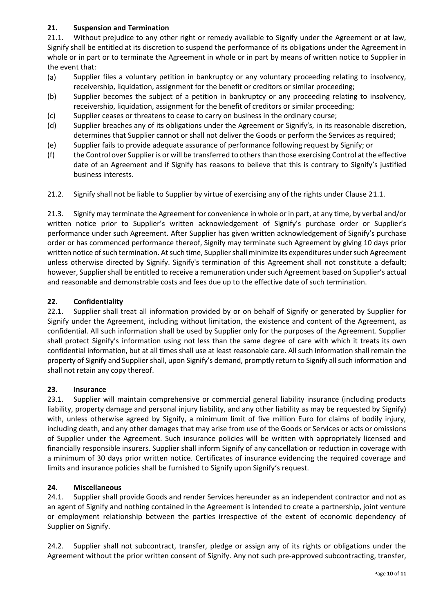# **21. Suspension and Termination**

21.1. Without prejudice to any other right or remedy available to Signify under the Agreement or at law, Signify shall be entitled at its discretion to suspend the performance of its obligations under the Agreement in whole or in part or to terminate the Agreement in whole or in part by means of written notice to Supplier in the event that:

- (a) Supplier files a voluntary petition in bankruptcy or any voluntary proceeding relating to insolvency, receivership, liquidation, assignment for the benefit or creditors or similar proceeding;
- (b) Supplier becomes the subject of a petition in bankruptcy or any proceeding relating to insolvency, receivership, liquidation, assignment for the benefit of creditors or similar proceeding;
- (c) Supplier ceases or threatens to cease to carry on business in the ordinary course;
- (d) Supplier breaches any of its obligations under the Agreement or Signify's, in its reasonable discretion, determines that Supplier cannot or shall not deliver the Goods or perform the Services as required;
- (e) Supplier fails to provide adequate assurance of performance following request by Signify; or
- (f) the Control over Supplier is or will be transferred to others than those exercising Control at the effective date of an Agreement and if Signify has reasons to believe that this is contrary to Signify's justified business interests.
- 21.2. Signify shall not be liable to Supplier by virtue of exercising any of the rights under Clause 21.1.

21.3. Signify may terminate the Agreement for convenience in whole or in part, at any time, by verbal and/or written notice prior to Supplier's written acknowledgement of Signify's purchase order or Supplier's performance under such Agreement. After Supplier has given written acknowledgement of Signify's purchase order or has commenced performance thereof, Signify may terminate such Agreement by giving 10 days prior written notice of such termination. At such time, Supplier shall minimize its expenditures under such Agreement unless otherwise directed by Signify. Signify's termination of this Agreement shall not constitute a default; however, Supplier shall be entitled to receive a remuneration under such Agreement based on Supplier's actual and reasonable and demonstrable costs and fees due up to the effective date of such termination.

## **22. Confidentiality**

22.1. Supplier shall treat all information provided by or on behalf of Signify or generated by Supplier for Signify under the Agreement, including without limitation, the existence and content of the Agreement, as confidential. All such information shall be used by Supplier only for the purposes of the Agreement. Supplier shall protect Signify's information using not less than the same degree of care with which it treats its own confidential information, but at all times shall use at least reasonable care. All such information shall remain the property of Signify and Supplier shall, upon Signify's demand, promptly return to Signify all such information and shall not retain any copy thereof.

## **23. Insurance**

23.1. Supplier will maintain comprehensive or commercial general liability insurance (including products liability, property damage and personal injury liability, and any other liability as may be requested by Signify) with, unless otherwise agreed by Signify, a minimum limit of five million Euro for claims of bodily injury, including death, and any other damages that may arise from use of the Goods or Services or acts or omissions of Supplier under the Agreement. Such insurance policies will be written with appropriately licensed and financially responsible insurers. Supplier shall inform Signify of any cancellation or reduction in coverage with a minimum of 30 days prior written notice. Certificates of insurance evidencing the required coverage and limits and insurance policies shall be furnished to Signify upon Signify's request.

## **24. Miscellaneous**

24.1. Supplier shall provide Goods and render Services hereunder as an independent contractor and not as an agent of Signify and nothing contained in the Agreement is intended to create a partnership, joint venture or employment relationship between the parties irrespective of the extent of economic dependency of Supplier on Signify.

24.2. Supplier shall not subcontract, transfer, pledge or assign any of its rights or obligations under the Agreement without the prior written consent of Signify. Any not such pre-approved subcontracting, transfer,